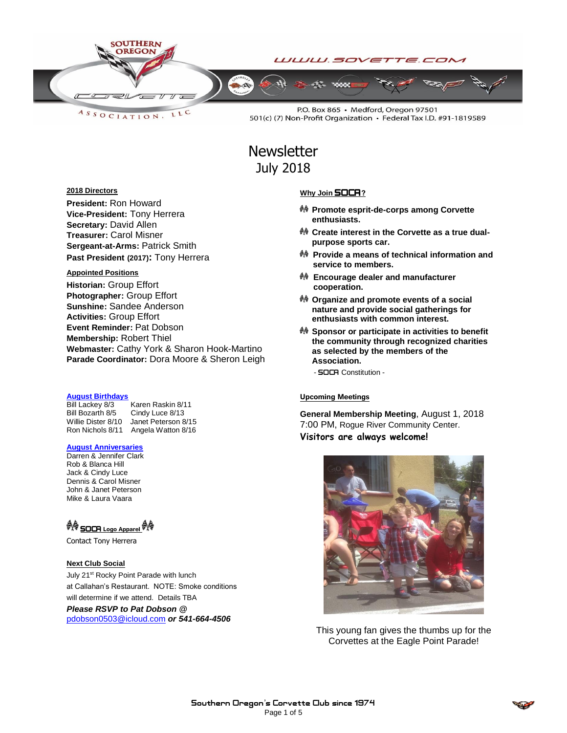

LLC  $A S S O C IAT I O N$ 

P.O. Box 865 · Medford, Oregon 97501 501(c) (7) Non-Profit Organization • Federal Tax I.D. #91-1819589

## **Newsletter** July 2018

#### **2018 Directors**

**President:** Ron Howard **Vice-President:** Tony Herrera **Secretary:** David Allen **Treasurer:** Carol Misner **Sergeant-at-Arms:** Patrick Smith **Past President (2017):** Tony Herrera

#### **Appointed Positions**

**Historian:** Group Effort **Photographer:** Group Effort **Sunshine:** Sandee Anderson **Activities:** Group Effort **Event Reminder:** Pat Dobson **Membership:** Robert Thiel **Webmaster:** Cathy York & Sharon Hook-Martino **Parade Coordinator:** Dora Moore & Sheron Leigh

#### **August Birthdays**

Bill Lackey 8/3 Karen Raskin 8/11<br>Bill Bozarth 8/5 Cindy Luce 8/13 Cindy Luce 8/13 Willie Dister 8/10 Janet Peterson 8/15 Ron Nichols 8/11 Angela Watton 8/16

#### **August Anniversaries**

Darren & Jennifer Clark Rob & Blanca Hill Jack & Cindy Luce Dennis & Carol Misner John & Janet Peterson Mike & Laura Vaara

## <sup>命令</sup> SOCR Logo A<u>pparel</u> <sup>命令</sup>

Contact Tony Herrera

#### **Next Club Social**

July 21<sup>st</sup> Rocky Point Parade with lunch at Callahan's Restaurant. NOTE: Smoke conditions will determine if we attend. Details TBA

*Please RSVP to Pat Dobson @* 

[pdobson0503@icloud.com](mailto:pdobson0503@icloud.com) *or 541-664-4506*

#### **Why Join** SOCA**?**

- **Promote esprit-de-corps among Corvette enthusiasts.**
- **Create interest in the Corvette as a true dualpurpose sports car.**
- **Provide a means of technical information and service to members.**
- **Encourage dealer and manufacturer cooperation.**
- **Organize and promote events of a social nature and provide social gatherings for enthusiasts with common interest.**
- **Sponsor or participate in activities to benefit the community through recognized charities as selected by the members of the Association.**
	- SOCA Constitution -

#### **Upcoming Meetings**

**General Membership Meeting**, August 1, 2018 7:00 PM, Rogue River Community Center. **Visitors are always welcome!**



This young fan gives the thumbs up for the Corvettes at the Eagle Point Parade!

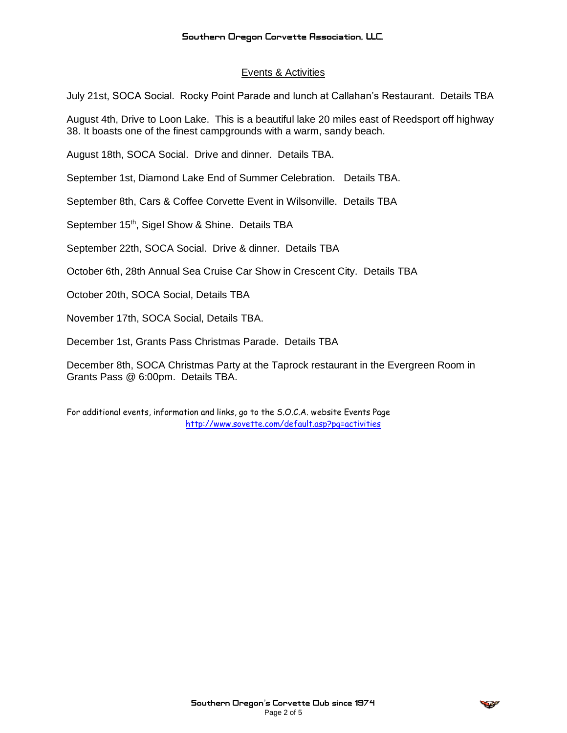### Events & Activities

July 21st, SOCA Social. Rocky Point Parade and lunch at Callahan's Restaurant. Details TBA

August 4th, Drive to Loon Lake. This is a beautiful lake 20 miles east of Reedsport off highway 38. It boasts one of the finest campgrounds with a warm, sandy beach.

August 18th, SOCA Social. Drive and dinner. Details TBA.

September 1st, Diamond Lake End of Summer Celebration. Details TBA.

September 8th, Cars & Coffee Corvette Event in Wilsonville. Details TBA

September 15<sup>th</sup>, Sigel Show & Shine. Details TBA

September 22th, SOCA Social. Drive & dinner. Details TBA

October 6th, 28th Annual Sea Cruise Car Show in Crescent City. Details TBA

October 20th, SOCA Social, Details TBA

November 17th, SOCA Social, Details TBA.

December 1st, Grants Pass Christmas Parade. Details TBA

December 8th, SOCA Christmas Party at the Taprock restaurant in the Evergreen Room in Grants Pass @ 6:00pm. Details TBA.

For additional events, information and links, go to the S.O.C.A. website Events Page <http://www.sovette.com/default.asp?pg=activities>

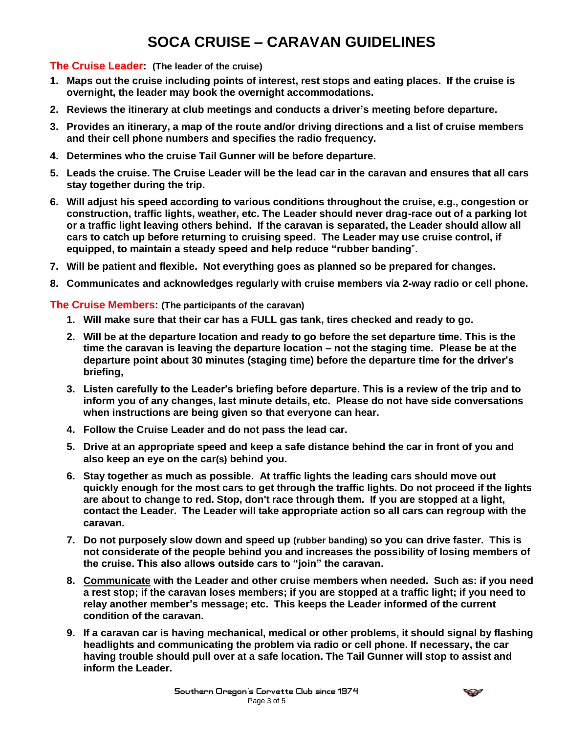## **SOCA CRUISE – CARAVAN GUIDELINES**

### **The Cruise Leader: (The leader of the cruise)**

- **1. Maps out the cruise including points of interest, rest stops and eating places. If the cruise is overnight, the leader may book the overnight accommodations.**
- **2. Reviews the itinerary at club meetings and conducts a driver's meeting before departure.**
- **3. Provides an itinerary, a map of the route and/or driving directions and a list of cruise members and their cell phone numbers and specifies the radio frequency.**
- **4. Determines who the cruise Tail Gunner will be before departure.**
- **5. Leads the cruise. The Cruise Leader will be the lead car in the [caravan](http://www.bayvalleycorvettes.com/Cruise_Guideline.htm#Cruise Caravan:) and ensures that all cars stay together during the trip.**
- **6. Will adjust his speed according to various conditions throughout the cruise, e.g., congestion or construction, traffic lights, weather, etc. The Leader should never drag-race out of a parking lot or a [traffic light](http://www.bayvalleycorvettes.com/Cruise_Guideline.htm#TRAFFIC LIGHTS) leaving others behind. If the caravan is separated, the Leader should allow all cars to catch up before returning to cruising speed. The Leader may use cruise control, if equipped, to maintain a steady speed and help reduce ["rubber banding](http://www.bayvalleycorvettes.com/Cruise_Guideline.htm#RUBBER BANDING)**".
- **7. Will be patient and flexible. Not everything goes as planned so be prepared for changes.**
- **8. [Communicates a](http://www.bayvalleycorvettes.com/Cruise_Guideline.htm#COMMUNICATION)nd acknowledges regularly with cruise members via [2-way radio](http://www.bayvalleycorvettes.com/Cruise_Guideline.htm#2-way radio) or cell phone.**

### **The Cruise Members: (The participants of the [caravan\)](http://www.bayvalleycorvettes.com/Cruise_Guideline.htm#Cruise Caravan:)**

- **1. Will make sure that their car has a FULL gas tank, tires checked and ready to go.**
- **2. Will be at the departure location and ready to go before the set departure time. This is the time the caravan is leaving the departure location – not the staging time. Please be at the departure point about 30 minutes (staging time) before the departure time for the driver's briefing,**
- **3. Listen carefully to the Leader's briefing before departure. This is a review of the trip and to inform you of any changes, last minute details, etc. Please do not have side conversations when instructions are being given so that everyone can hear.**
- **4. Follow the Cruise Leader and do not pass the lead car.**
- **5. Drive at an [appropriate speed](http://www.bayvalleycorvettes.com/Cruise_Guideline.htm#APPROPRIATE SPEED) and keep a safe distance behind the car in front of you and also keep an eye on the car(s) behind you.**
- **6. Stay together as much as possible. At [traffic lights](http://www.bayvalleycorvettes.com/Cruise_Guideline.htm#TRAFFIC LIGHTS) the leading cars should move out quickly enough for the most cars to get through the traffic lights. Do not proceed if the lights are about to change to red. Stop, don't race through them. If you are stopped at a light, contact the Leader. The Leader will take appropriate action so all cars can regroup with the caravan.**
- **7. Do not purposely slow down and speed up [\(rubber banding\)](http://www.bayvalleycorvettes.com/Cruise_Guideline.htm#RUBBER BANDING) so you can drive faster. This is not considerate of the people behind you and increases the possibility of losing members of the cruise. This also allows outside cars to "join" the caravan.**
- **8. [Communicate](http://www.bayvalleycorvettes.com/Cruise_Guideline.htm#COMMUNICATION) with the Leader and other cruise members when needed. Such as: if you need a rest stop; if the caravan loses members; if you are stopped at a traffic light; if you need to relay another member's message; etc. This keeps the Leader informed of the current condition of the caravan.**
- **9. If a caravan car is having mechanical, medical or other problems, it should signal by flashing headlights and communicating the problem via radio or cell phone. If necessary, the car having trouble should pull over at a safe location. The Tail Gunner will stop to assist and inform the Leader.**

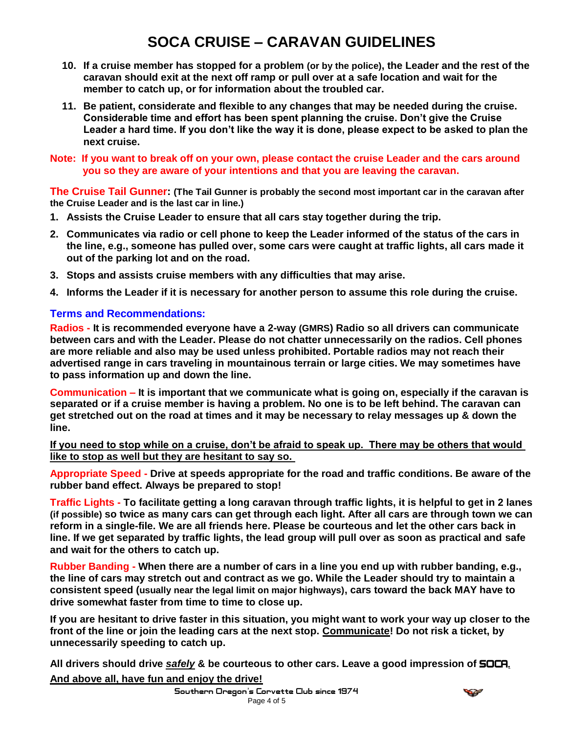# **SOCA CRUISE – CARAVAN GUIDELINES**

- **10. If a cruise member has stopped for a problem (or by the police), the Leader and the rest of the caravan should exit at the next off ramp or pull over at a safe location and wait for the member to catch up, or for information about the troubled car.**
- **11. Be patient, considerate and flexible to any changes that may be needed during the cruise. Considerable time and effort has been spent planning the cruise. Don't give the Cruise Leader a hard time. If you don't like the way it is done, please expect to be asked to plan the next cruise.**
- **Note: If you want to break off on your own, please contact the cruise Leader and the cars around you so they are aware of your intentions and that you are leaving the caravan.**

**The Cruise Tail Gunner: (The Tail Gunner is probably the second most important car in the caravan after the Cruise Leader and is the last car in line.)**

- **1. Assists the Cruise Leader to ensure that all cars stay together during the trip.**
- **2. [Communicates](http://www.bayvalleycorvettes.com/Cruise_Guideline.htm#COMMUNICATION) via radio or cell phone to keep the Leader informed of the status of the cars in the line, e.g., someone has pulled over, some cars were caught at traffic lights, all cars made it out of the parking lot and on the road.**
- **3. Stops and assists cruise members with any difficulties that may arise.**
- **4. Informs the Leader if it is necessary for another person to assume this role during the cruise.**

## **Terms and Recommendations:**

**Radios - It is recommended everyone have a 2-way (GMRS) Radio so all drivers can communicate between cars and with the Leader. Please do not chatter unnecessarily on the radios. Cell phones are more reliable and also may be used unless prohibited. Portable radios may not reach their advertised range in cars traveling in mountainous terrain or large cities. We may sometimes have to pass information up and down the line.** 

**Communication – It is important that we communicate what is going on, especially if the caravan is separated or if a cruise member is having a problem. No one is to be left behind. The caravan can get stretched out on the road at times and it may be necessary to relay messages up & down the line.**

**If you need to stop while on a cruise, don't be afraid to speak up. There may be others that would like to stop as well but they are hesitant to say so.** 

**Appropriate Speed - Drive at speeds appropriate for the road and traffic conditions. Be aware of the rubber band effect. Always be prepared to stop!**

**Traffic Lights - To facilitate getting a long caravan through traffic lights, it is helpful to get in 2 lanes (if possible) so twice as many cars can get through each light. After all cars are through town we can reform in a single-file. We are all friends here. Please be courteous and let the other cars back in line. If we get separated by traffic lights, the lead group will pull over as soon as practical and safe and wait for the others to catch up.**

**Rubber Banding - When there are a number of cars in a line you end up with rubber banding, e.g., the line of cars may stretch out and contract as we go. While the Leader should try to maintain a consistent speed (usually near the legal limit on major highways), cars toward the back MAY have to drive somewhat faster from time to time to close up.** 

**If you are hesitant to drive faster in this situation, you might want to work your way up closer to the front of the line or join the leading cars at the next stop. Communicate! Do not risk a ticket, by unnecessarily speeding to catch up.**

**All drivers should drive** *safely* **& be courteous to other cars. Leave a good impression of** SOCA. **And above all, have fun and enjoy the drive!**